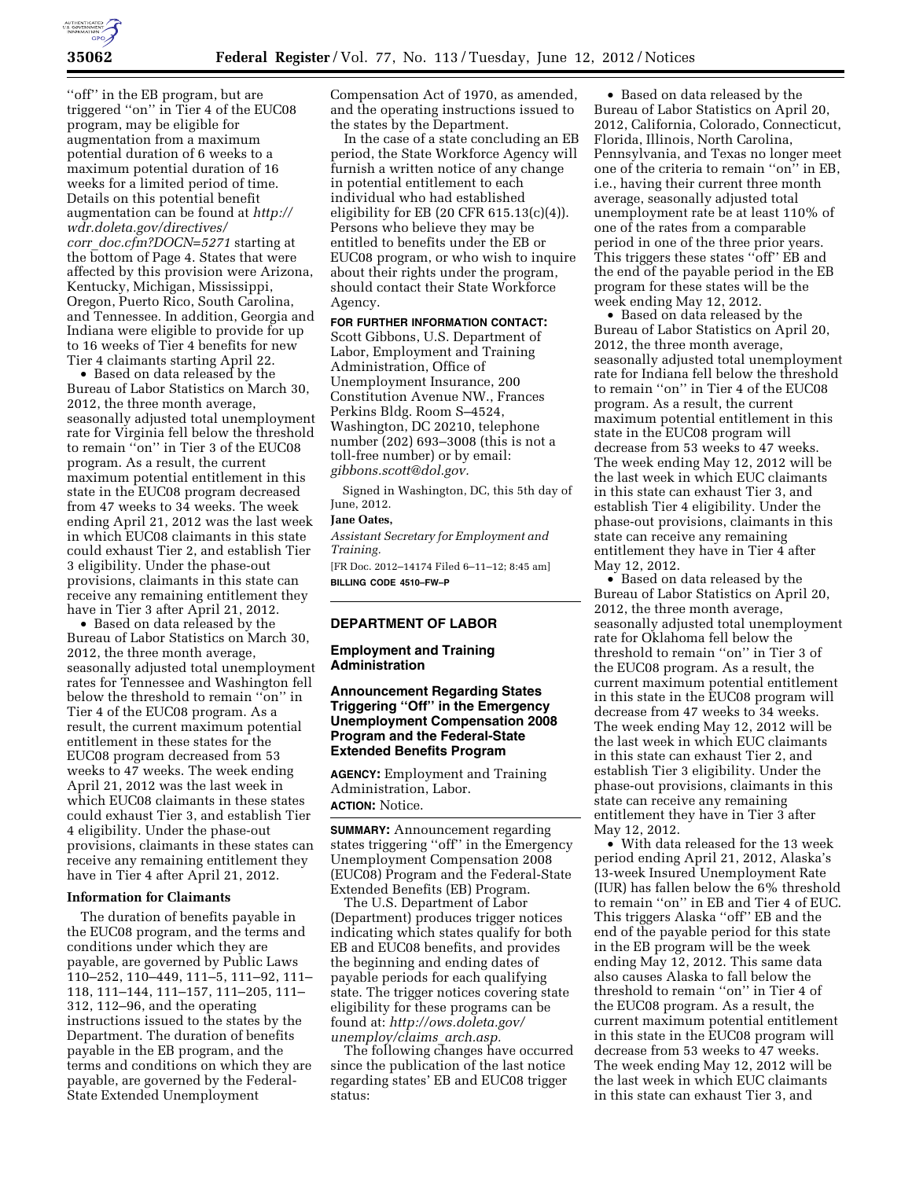

"off" in the EB program, but are triggered ''on'' in Tier 4 of the EUC08 program, may be eligible for augmentation from a maximum potential duration of 6 weeks to a maximum potential duration of 16 weeks for a limited period of time. Details on this potential benefit augmentation can be found at *[http://](http://wdr.doleta.gov/directives/corr_doc.cfm?DOCN=5271) [wdr.doleta.gov/directives/](http://wdr.doleta.gov/directives/corr_doc.cfm?DOCN=5271)  corr*\_*[doc.cfm?DOCN=5271](http://wdr.doleta.gov/directives/corr_doc.cfm?DOCN=5271)* starting at the bottom of Page 4. States that were affected by this provision were Arizona, Kentucky, Michigan, Mississippi, Oregon, Puerto Rico, South Carolina, and Tennessee. In addition, Georgia and Indiana were eligible to provide for up to 16 weeks of Tier 4 benefits for new Tier 4 claimants starting April 22.

• Based on data released by the Bureau of Labor Statistics on March 30, 2012, the three month average, seasonally adjusted total unemployment rate for Virginia fell below the threshold to remain ''on'' in Tier 3 of the EUC08 program. As a result, the current maximum potential entitlement in this state in the EUC08 program decreased from 47 weeks to 34 weeks. The week ending April 21, 2012 was the last week in which EUC08 claimants in this state could exhaust Tier 2, and establish Tier 3 eligibility. Under the phase-out provisions, claimants in this state can receive any remaining entitlement they have in Tier 3 after April 21, 2012.

• Based on data released by the Bureau of Labor Statistics on March 30, 2012, the three month average, seasonally adjusted total unemployment rates for Tennessee and Washington fell below the threshold to remain ''on'' in Tier 4 of the EUC08 program. As a result, the current maximum potential entitlement in these states for the EUC08 program decreased from 53 weeks to 47 weeks. The week ending April 21, 2012 was the last week in which EUC08 claimants in these states could exhaust Tier 3, and establish Tier 4 eligibility. Under the phase-out provisions, claimants in these states can receive any remaining entitlement they have in Tier 4 after April 21, 2012.

### **Information for Claimants**

The duration of benefits payable in the EUC08 program, and the terms and conditions under which they are payable, are governed by Public Laws 110–252, 110–449, 111–5, 111–92, 111– 118, 111–144, 111–157, 111–205, 111– 312, 112–96, and the operating instructions issued to the states by the Department. The duration of benefits payable in the EB program, and the terms and conditions on which they are payable, are governed by the Federal-State Extended Unemployment

Compensation Act of 1970, as amended, and the operating instructions issued to the states by the Department.

In the case of a state concluding an EB period, the State Workforce Agency will furnish a written notice of any change in potential entitlement to each individual who had established eligibility for EB (20 CFR 615.13(c)(4)). Persons who believe they may be entitled to benefits under the EB or EUC08 program, or who wish to inquire about their rights under the program, should contact their State Workforce Agency.

### **FOR FURTHER INFORMATION CONTACT:**

Scott Gibbons, U.S. Department of Labor, Employment and Training Administration, Office of Unemployment Insurance, 200 Constitution Avenue NW., Frances Perkins Bldg. Room S–4524, Washington, DC 20210, telephone number (202) 693–3008 (this is not a toll-free number) or by email: *[gibbons.scott@dol.gov.](mailto:gibbons.scott@dol.gov)* 

Signed in Washington, DC, this 5th day of June, 2012.

# **Jane Oates,**

*Assistant Secretary for Employment and Training.* 

[FR Doc. 2012–14174 Filed 6–11–12; 8:45 am] **BILLING CODE 4510–FW–P** 

### **DEPARTMENT OF LABOR**

**Employment and Training Administration** 

### **Announcement Regarding States Triggering ''Off'' in the Emergency Unemployment Compensation 2008 Program and the Federal-State Extended Benefits Program**

**AGENCY:** Employment and Training Administration, Labor. **ACTION:** Notice.

**SUMMARY:** Announcement regarding states triggering ''off'' in the Emergency Unemployment Compensation 2008 (EUC08) Program and the Federal-State Extended Benefits (EB) Program.

The U.S. Department of Labor (Department) produces trigger notices indicating which states qualify for both EB and EUC08 benefits, and provides the beginning and ending dates of payable periods for each qualifying state. The trigger notices covering state eligibility for these programs can be found at: *[http://ows.doleta.gov/](http://ows.doleta.gov/unemploy/claims_arch.asp) [unemploy/claims](http://ows.doleta.gov/unemploy/claims_arch.asp)*\_*arch.asp.* 

The following changes have occurred since the publication of the last notice regarding states' EB and EUC08 trigger status:

• Based on data released by the Bureau of Labor Statistics on April 20, 2012, California, Colorado, Connecticut, Florida, Illinois, North Carolina, Pennsylvania, and Texas no longer meet one of the criteria to remain ''on'' in EB, i.e., having their current three month average, seasonally adjusted total unemployment rate be at least 110% of one of the rates from a comparable period in one of the three prior years. This triggers these states ''off'' EB and the end of the payable period in the EB program for these states will be the week ending May 12, 2012.

• Based on data released by the Bureau of Labor Statistics on April 20, 2012, the three month average, seasonally adjusted total unemployment rate for Indiana fell below the threshold to remain ''on'' in Tier 4 of the EUC08 program. As a result, the current maximum potential entitlement in this state in the EUC08 program will decrease from 53 weeks to 47 weeks. The week ending May 12, 2012 will be the last week in which EUC claimants in this state can exhaust Tier 3, and establish Tier 4 eligibility. Under the phase-out provisions, claimants in this state can receive any remaining entitlement they have in Tier 4 after May 12, 2012.

• Based on data released by the Bureau of Labor Statistics on April 20, 2012, the three month average, seasonally adjusted total unemployment rate for Oklahoma fell below the threshold to remain ''on'' in Tier 3 of the EUC08 program. As a result, the current maximum potential entitlement in this state in the EUC08 program will decrease from 47 weeks to 34 weeks. The week ending May 12, 2012 will be the last week in which EUC claimants in this state can exhaust Tier 2, and establish Tier 3 eligibility. Under the phase-out provisions, claimants in this state can receive any remaining entitlement they have in Tier 3 after May 12, 2012.

• With data released for the 13 week period ending April 21, 2012, Alaska's 13-week Insured Unemployment Rate (IUR) has fallen below the 6% threshold to remain ''on'' in EB and Tier 4 of EUC. This triggers Alaska ''off'' EB and the end of the payable period for this state in the EB program will be the week ending May 12, 2012. This same data also causes Alaska to fall below the threshold to remain ''on'' in Tier 4 of the EUC08 program. As a result, the current maximum potential entitlement in this state in the EUC08 program will decrease from 53 weeks to 47 weeks. The week ending May 12, 2012 will be the last week in which EUC claimants in this state can exhaust Tier 3, and